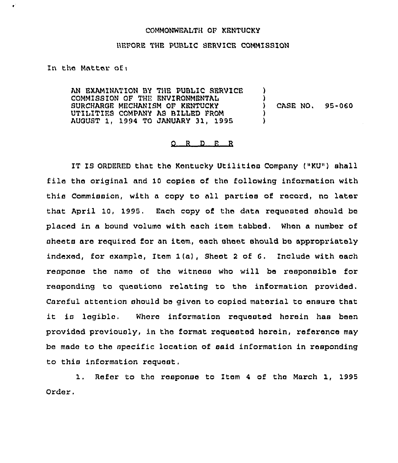## COMMONWEALTH OF KENTUCKY

## ))EFORE THE PUBLIC SERVICE COMMISSION

In the Matter of:

AN EXAMINATION BY THE PUBLIC SERVICE COMM1SSION OF THE ENVIRONMENTAL SURCHARGE MECHANISM OF kENTUCKY UTILITIFS COMPANY AB BILLED FROM AUGUST 1, 1994 TO JANUARY 31, 1995 )  $\lambda$ ) CASE NQ. 95-060 ) )

## $Q$  R D E R

1T IS ORDERED that tho kentucky Utilitias Company {"KU") shall file the original and 10 copies of the following information with this Commission, with a copy to all partiaa of record, no later that April 10, 1995. Each copy of the data requested should be placed in a bound volumo with each item tabbed, When a number of sheets are required for an item, each sheet should be appropriately indexed, for example, Item 1{a), Sheet <sup>2</sup> of 6, Include with oach response the name of the witness who will be responsible for responding to questions relating to tha information provided. Careful attention should be given to copied material to ensure that it ic lagibla, Where information roquosted herein has been provided previously, in the format requested herein, reference may be made to the specific location of said information in responding to this information request,

1. Refer to tha response to Item <sup>4</sup> of tha March 1, 1995 Order.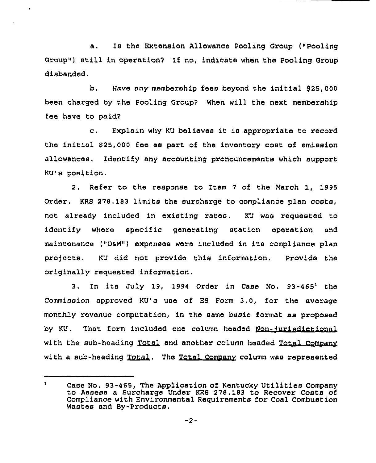a. Is the Extension Allowance Pooling Group (»Pooling Group») still in operation7 If no, indicate when the Pooling Group disbanded.

b. Have any membership fees beyond the initial \$25,000 been charged by the Pooling Group7 When will the next membership fee have to paid7

c. Fxplain why KU believes it is appropriate to record the initial \$25,000 fee as part of the inventory cost of emission allowances. Identify any accounting pronouncements which support KU's position.

2. Refer to the response to Item <sup>7</sup> of the March 1, 1995 Order. KRS 278, 183 limits the surcharge to compliance plan costs, not already included in existing rates. KU was requested to identify where specific generating station operation and maintenance (»OaM») expenses were included in its compliance plan projects. KU did not provide this information. Provide the originally requested information.

3. In its July 19, 1994 Order in Case No.  $93-465^1$  the Commission approved KU's use of ES Form 3.0, for the average monthly revenue computation, in the same basic format as proposed by KU. That form included one column headed Non-jurisdiction with the sub-heading Total and another column headed Total Company itatio<br>:clude<br>Total<br>:with a sub-heading Total. The Total Company column was represented

 $\mathbf{1}$ Case No. 93-465, The Application of Kentucky Utilities Company to Assess a Surcharge Under KRS 278. 183 to Recover Costs of Compliance with Environmental Requirements for Coal Combustion Wastes and By-Products.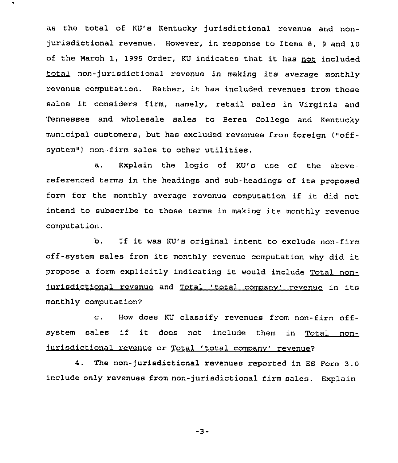as the total of KU's Kentucky jurisdictional revenue and nonjurisdictional revenue. However, in response to Items 8, <sup>9</sup> and 10 of the March 1, 1995 Order, KU indicates that it has not included non-jurisdictional revenue in making its average monthly revenue computation. Rather, it has included revenues from those sales it considers firm, namely, retail sales in Virginia and Tennessee and wholesale sales to Berea College and Kentucky municipal customers, but has excluded revenues from foreign ("offsystem") non-firm sales to other utilities.

a. Explain the logic of KU's use of the abovereferenced terms in the headings and sub-headings of its proposed form for the monthly average revenue computation if it did not intend to subscribe to those terms in making its monthly revenue computation.

b. If it was KU's original intent to exclude non-firm off-system sales from its monthly revenue computation why did it propose <sup>a</sup> form explicitly indicating it would include Total nonjurisdictional revenue and Total 'total company' revenue in its monthly computation7

c. How does KU classify revenues from non-firm offsystem sales if it does not include them in Total nonjurisdictional revenue or Total 'total company' revenue?

4, The non-jurisdictional revenues reported in ES Form 3.0 include only revenues from non-jurisdictional firm sales. Explain

-3-